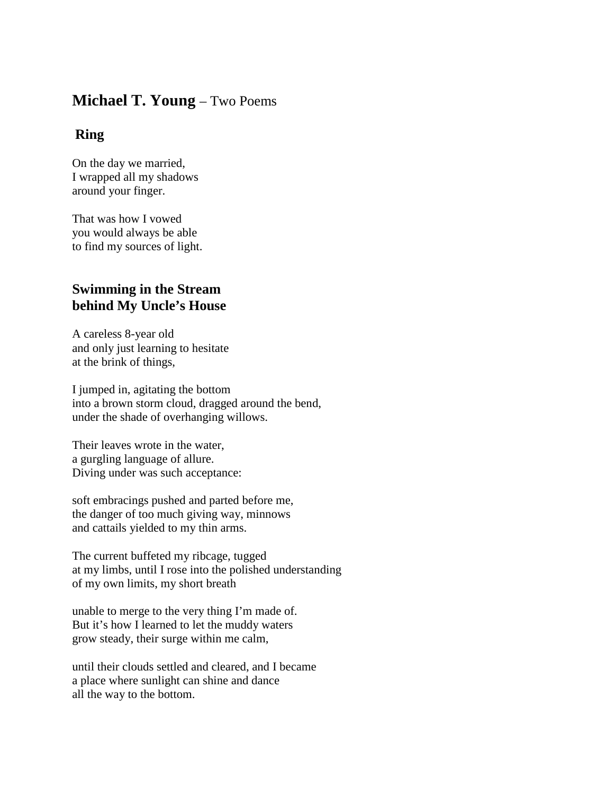## **Michael T. Young** – Two Poems

## **Ring**

On the day we married, I wrapped all my shadows around your finger.

That was how I vowed you would always be able to find my sources of light.

## **Swimming in the Stream behind My Uncle's House**

A careless 8-year old and only just learning to hesitate at the brink of things,

I jumped in, agitating the bottom into a brown storm cloud, dragged around the bend, under the shade of overhanging willows.

Their leaves wrote in the water, a gurgling language of allure. Diving under was such acceptance:

soft embracings pushed and parted before me, the danger of too much giving way, minnows and cattails yielded to my thin arms.

The current buffeted my ribcage, tugged at my limbs, until I rose into the polished understanding of my own limits, my short breath

unable to merge to the very thing I'm made of. But it's how I learned to let the muddy waters grow steady, their surge within me calm,

until their clouds settled and cleared, and I became a place where sunlight can shine and dance all the way to the bottom.